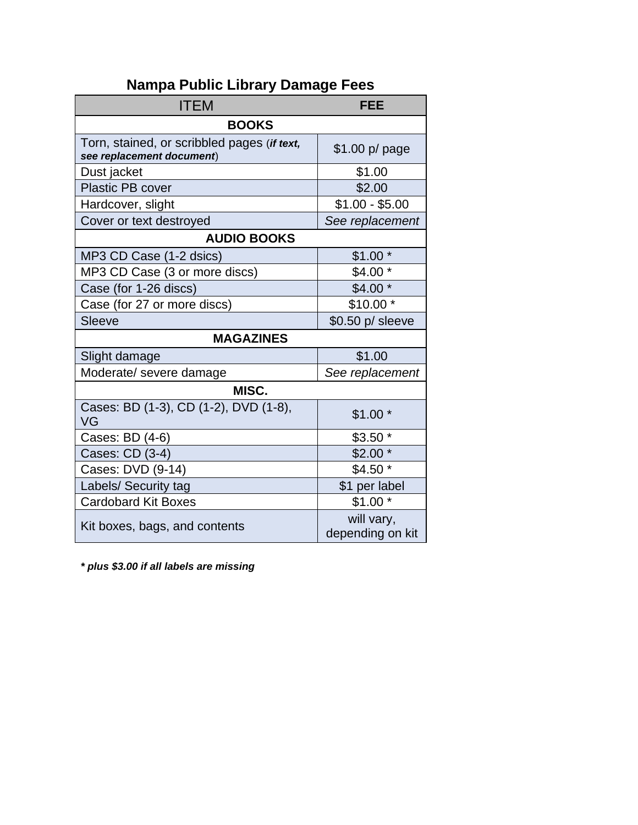| <b>ITEM</b>                                                              | <b>FEE</b>                     |  |  |  |  |
|--------------------------------------------------------------------------|--------------------------------|--|--|--|--|
| <b>BOOKS</b>                                                             |                                |  |  |  |  |
| Torn, stained, or scribbled pages (if text,<br>see replacement document) | $$1.00 p$ page                 |  |  |  |  |
| Dust jacket                                                              | \$1.00                         |  |  |  |  |
| <b>Plastic PB cover</b>                                                  | \$2.00                         |  |  |  |  |
| Hardcover, slight                                                        | $$1.00 - $5.00$                |  |  |  |  |
| Cover or text destroyed                                                  | See replacement                |  |  |  |  |
| <b>AUDIO BOOKS</b>                                                       |                                |  |  |  |  |
| MP3 CD Case (1-2 dsics)                                                  | $$1.00*$                       |  |  |  |  |
| MP3 CD Case (3 or more discs)                                            | \$4.00                         |  |  |  |  |
| Case (for 1-26 discs)                                                    | $$4.00*$                       |  |  |  |  |
| Case (for 27 or more discs)                                              | $$10.00*$                      |  |  |  |  |
| <b>Sleeve</b>                                                            | \$0.50 p/ sleeve               |  |  |  |  |
| <b>MAGAZINES</b>                                                         |                                |  |  |  |  |
| Slight damage                                                            | \$1.00                         |  |  |  |  |
| Moderate/ severe damage                                                  | See replacement                |  |  |  |  |
| MISC.                                                                    |                                |  |  |  |  |
| Cases: BD (1-3), CD (1-2), DVD (1-8),<br>VG                              | $$1.00*$                       |  |  |  |  |
| Cases: BD (4-6)                                                          | $$3.50*$                       |  |  |  |  |
| Cases: CD (3-4)                                                          | \$2.00                         |  |  |  |  |
| Cases: DVD (9-14)                                                        | $$4.50*$                       |  |  |  |  |
| Labels/ Security tag                                                     | \$1 per label                  |  |  |  |  |
| <b>Cardobard Kit Boxes</b>                                               | $$1.00*$                       |  |  |  |  |
| Kit boxes, bags, and contents                                            | will vary,<br>depending on kit |  |  |  |  |

## **Nampa Public Library Damage Fees**

*\* plus \$3.00 if all labels are missing*